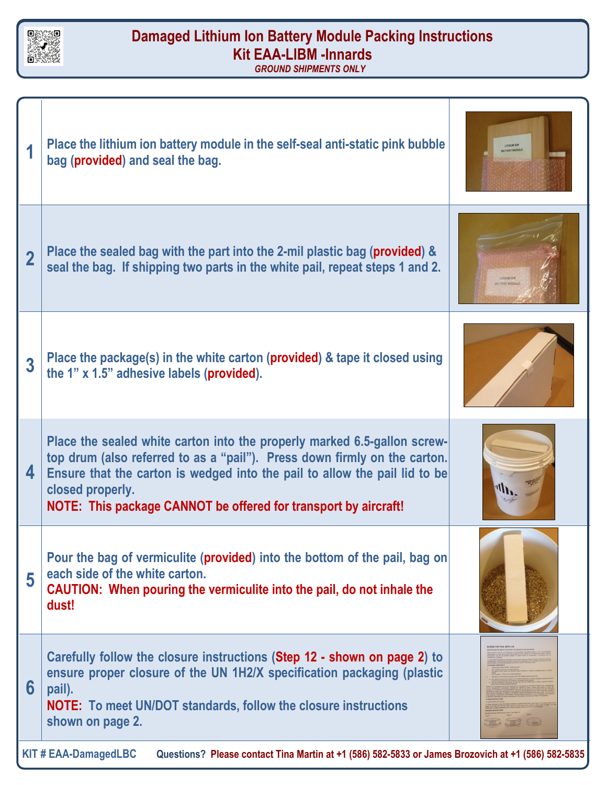

## **Damaged Lithium Ion Battery Module Packing Instructions Kit EAA-LIBM -Innards**

*GROUND SHIPMENTS ONLY*

|                                                                                                                                   | Place the lithium ion battery module in the self-seal anti-static pink bubble<br>bag (provided) and seal the bag.                                                                                                                                                                                                          |  |  |  |  |  |
|-----------------------------------------------------------------------------------------------------------------------------------|----------------------------------------------------------------------------------------------------------------------------------------------------------------------------------------------------------------------------------------------------------------------------------------------------------------------------|--|--|--|--|--|
| $\bf{2}$                                                                                                                          | Place the sealed bag with the part into the 2-mil plastic bag (provided) &<br>seal the bag. If shipping two parts in the white pail, repeat steps 1 and 2.                                                                                                                                                                 |  |  |  |  |  |
| 3                                                                                                                                 | Place the package(s) in the white carton (provided) & tape it closed using<br>the 1" x 1.5" adhesive labels (provided).                                                                                                                                                                                                    |  |  |  |  |  |
| 4                                                                                                                                 | Place the sealed white carton into the properly marked 6.5-gallon screw-<br>top drum (also referred to as a "pail"). Press down firmly on the carton.<br>Ensure that the carton is wedged into the pail to allow the pail lid to be<br>closed properly.<br>NOTE: This package CANNOT be offered for transport by aircraft! |  |  |  |  |  |
| 5                                                                                                                                 | Pour the bag of vermiculite (provided) into the bottom of the pail, bag on<br>each side of the white carton.<br>CAUTION: When pouring the vermiculite into the pail, do not inhale the<br>dust!                                                                                                                            |  |  |  |  |  |
| 6                                                                                                                                 | Carefully follow the closure instructions (Step 12 - shown on page 2) to<br>ensure proper closure of the UN 1H2/X specification packaging (plastic<br>pail).<br><b>NOTE:</b> To meet UN/DOT standards, follow the closure instructions<br>shown on page 2.                                                                 |  |  |  |  |  |
| <b>KIT # EAA-DamagedLBC</b><br>Questions? Please contact Tina Martin at +1 (586) 582-5833 or James Brozovich at +1 (586) 582-5835 |                                                                                                                                                                                                                                                                                                                            |  |  |  |  |  |